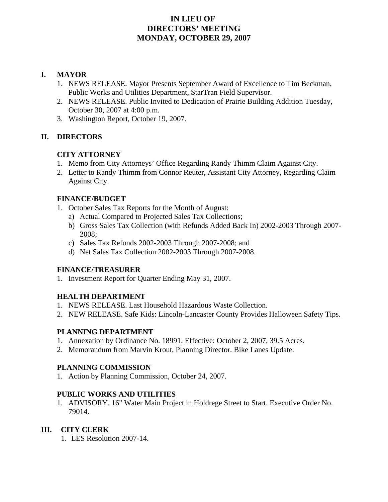# **IN LIEU OF DIRECTORS' MEETING MONDAY, OCTOBER 29, 2007**

### **I. MAYOR**

- 1. NEWS RELEASE. Mayor Presents September Award of Excellence to Tim Beckman, Public Works and Utilities Department, StarTran Field Supervisor.
- 2. NEWS RELEASE. Public Invited to Dedication of Prairie Building Addition Tuesday, October 30, 2007 at 4:00 p.m.
- 3. Washington Report, October 19, 2007.

# **II. DIRECTORS**

# **CITY ATTORNEY**

- 1. Memo from City Attorneys' Office Regarding Randy Thimm Claim Against City.
- 2. Letter to Randy Thimm from Connor Reuter, Assistant City Attorney, Regarding Claim Against City.

### **FINANCE/BUDGET**

- 1. October Sales Tax Reports for the Month of August:
	- a) Actual Compared to Projected Sales Tax Collections;
	- b) Gross Sales Tax Collection (with Refunds Added Back In) 2002-2003 Through 2007- 2008;
	- c) Sales Tax Refunds 2002-2003 Through 2007-2008; and
	- d) Net Sales Tax Collection 2002-2003 Through 2007-2008.

# **FINANCE/TREASURER**

1. Investment Report for Quarter Ending May 31, 2007.

# **HEALTH DEPARTMENT**

- 1. NEWS RELEASE. Last Household Hazardous Waste Collection.
- 2. NEW RELEASE. Safe Kids: Lincoln-Lancaster County Provides Halloween Safety Tips.

# **PLANNING DEPARTMENT**

- 1. Annexation by Ordinance No. 18991. Effective: October 2, 2007, 39.5 Acres.
- 2. Memorandum from Marvin Krout, Planning Director. Bike Lanes Update.

### **PLANNING COMMISSION**

1. Action by Planning Commission, October 24, 2007.

# **PUBLIC WORKS AND UTILITIES**

1. ADVISORY. 16" Water Main Project in Holdrege Street to Start. Executive Order No. 79014.

# **III. CITY CLERK**

1. LES Resolution 2007-14.